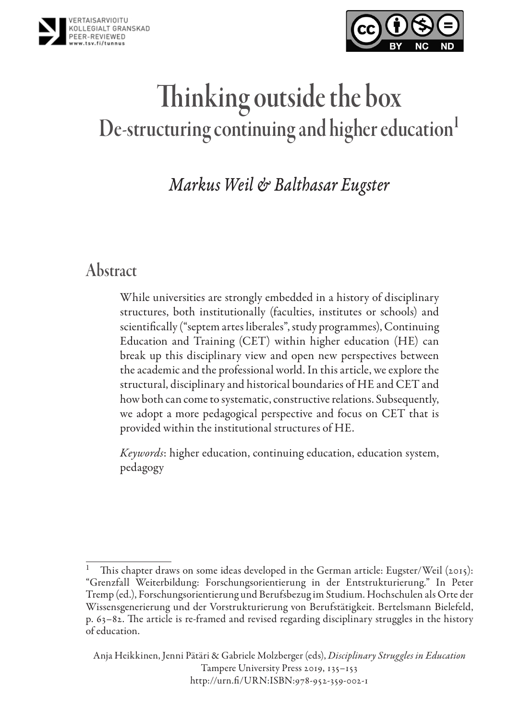



# Thinking outside the box De-structuring continuing and higher education<sup>1</sup>

*Markus Weil & Balthasar Eugster*

# Abstract

While universities are strongly embedded in a history of disciplinary structures, both institutionally (faculties, institutes or schools) and scientifically ("septem artes liberales", study programmes), Continuing Education and Training (CET) within higher education (HE) can break up this disciplinary view and open new perspectives between the academic and the professional world. In this article, we explore the structural, disciplinary and historical boundaries of HE and CET and how both can come to systematic, constructive relations. Subsequently, we adopt a more pedagogical perspective and focus on CET that is provided within the institutional structures of HE.

*Keywords*: higher education, continuing education, education system, pedagogy

This chapter draws on some ideas developed in the German article: Eugster/Weil (2015): "Grenzfall Weiterbildung: Forschungsorientierung in der Entstrukturierung." In Peter Tremp (ed.), Forschungsorientierung und Berufsbezug im Studium. Hochschulen als Orte der Wissensgenerierung und der Vorstrukturierung von Berufstätigkeit. Bertelsmann Bielefeld, p. 63–82. The article is re-framed and revised regarding disciplinary struggles in the history of education.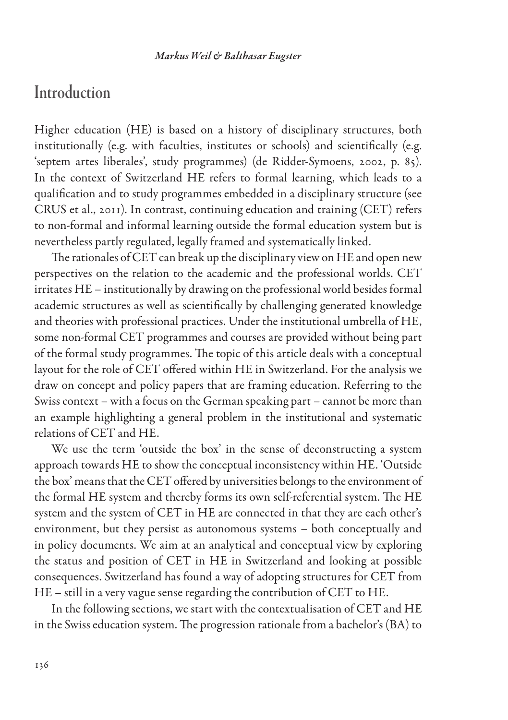### **Introduction**

Higher education (HE) is based on a history of disciplinary structures, both institutionally (e.g. with faculties, institutes or schools) and scientifically (e.g. 'septem artes liberales', study programmes) (de Ridder-Symoens, 2002, p. 85). In the context of Switzerland HE refers to formal learning, which leads to a qualification and to study programmes embedded in a disciplinary structure (see CRUS et al., 2011). In contrast, continuing education and training (CET) refers to non-formal and informal learning outside the formal education system but is nevertheless partly regulated, legally framed and systematically linked.

The rationales of CET can break up the disciplinary view on HE and open new perspectives on the relation to the academic and the professional worlds. CET irritates HE – institutionally by drawing on the professional world besides formal academic structures as well as scientifically by challenging generated knowledge and theories with professional practices. Under the institutional umbrella of HE, some non-formal CET programmes and courses are provided without being part of the formal study programmes. The topic of this article deals with a conceptual layout for the role of CET offered within HE in Switzerland. For the analysis we draw on concept and policy papers that are framing education. Referring to the Swiss context – with a focus on the German speaking part – cannot be more than an example highlighting a general problem in the institutional and systematic relations of CET and HE.

We use the term 'outside the box' in the sense of deconstructing a system approach towards HE to show the conceptual inconsistency within HE. 'Outside the box' means that the CET offered by universities belongs to the environment of the formal HE system and thereby forms its own self-referential system. The HE system and the system of CET in HE are connected in that they are each other's environment, but they persist as autonomous systems – both conceptually and in policy documents. We aim at an analytical and conceptual view by exploring the status and position of CET in HE in Switzerland and looking at possible consequences. Switzerland has found a way of adopting structures for CET from HE – still in a very vague sense regarding the contribution of CET to HE.

In the following sections, we start with the contextualisation of CET and HE in the Swiss education system. The progression rationale from a bachelor's (BA) to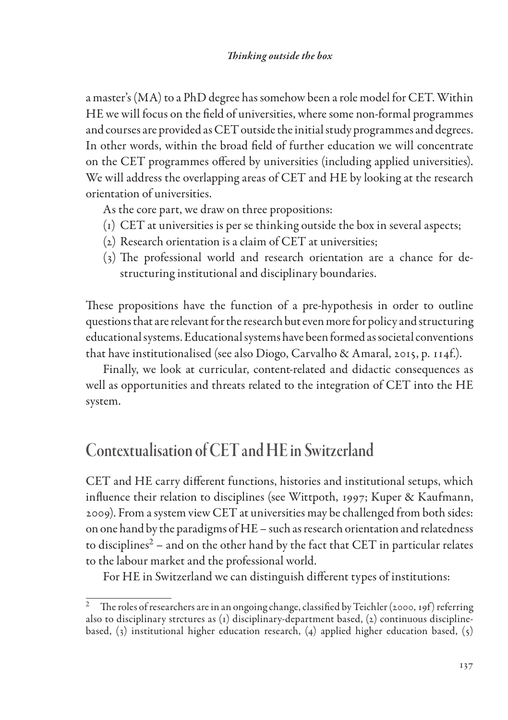a master's (MA) to a PhD degree has somehow been a role model for CET. Within HE we will focus on the field of universities, where some non-formal programmes and courses are provided as CET outside the initial study programmes and degrees. In other words, within the broad field of further education we will concentrate on the CET programmes offered by universities (including applied universities). We will address the overlapping areas of CET and HE by looking at the research orientation of universities.

As the core part, we draw on three propositions:

- (1) CET at universities is per se thinking outside the box in several aspects;
- (2) Research orientation is a claim of CET at universities;
- (3) The professional world and research orientation are a chance for destructuring institutional and disciplinary boundaries.

These propositions have the function of a pre-hypothesis in order to outline questions that are relevant for the research but even more for policy and structuring educational systems. Educational systems have been formed as societal conventions that have institutionalised (see also Diogo, Carvalho & Amaral, 2015, p. 114f.).

Finally, we look at curricular, content-related and didactic consequences as well as opportunities and threats related to the integration of CET into the HE system.

# Contextualisation of CET and HE in Switzerland

CET and HE carry different functions, histories and institutional setups, which influence their relation to disciplines (see Wittpoth, 1997; Kuper & Kaufmann, 2009). From a system view CET at universities may be challenged from both sides: on one hand by the paradigms of HE – such as research orientation and relatedness to disciplines<sup>2</sup> – and on the other hand by the fact that CET in particular relates to the labour market and the professional world.

For HE in Switzerland we can distinguish different types of institutions:

<sup>2</sup> The roles of researchers are in an ongoing change, classified by Teichler (2000, 19f) referring also to disciplinary strctures as (1) disciplinary-department based, (2) continuous disciplinebased, (3) institutional higher education research, (4) applied higher education based, (5)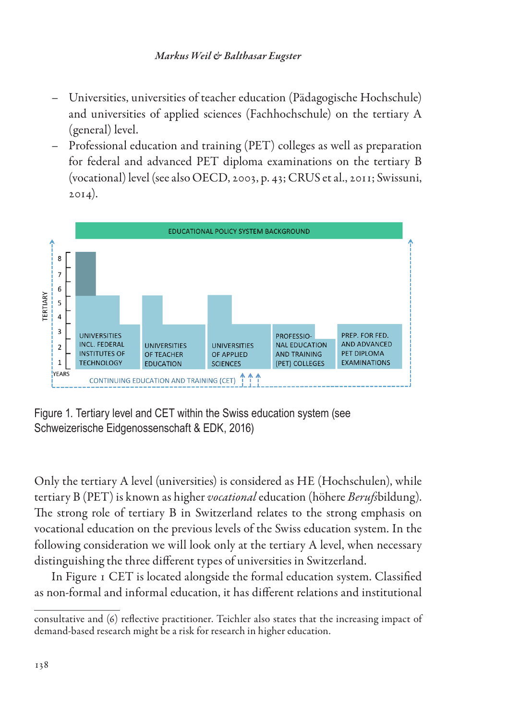- Universities, universities of teacher education (Pädagogische Hochschule) and universities of applied sciences (Fachhochschule) on the tertiary A (general) level.
- Professional education and training (PET) colleges as well as preparation for federal and advanced PET diploma examinations on the tertiary B (vocational) level (see also OECD, 2003, p. 43; CRUS et al., 2011; Swissuni,  $2014$ ).



Figure 1. Tertiary level and CET within the Swiss education system (see Schweizerische Eidgenossenschaft & EDK, 2016)

Only the tertiary A level (universities) is considered as HE (Hochschulen), while tertiary B (PET) is known as higher *vocational* education (höhere *Berufs*bildung). The strong role of tertiary B in Switzerland relates to the strong emphasis on vocational education on the previous levels of the Swiss education system. In the following consideration we will look only at the tertiary A level, when necessary distinguishing the three different types of universities in Switzerland.

In Figure 1 CET is located alongside the formal education system. Classified as non-formal and informal education, it has different relations and institutional

consultative and (6) reflective practitioner. Teichler also states that the increasing impact of demand-based research might be a risk for research in higher education.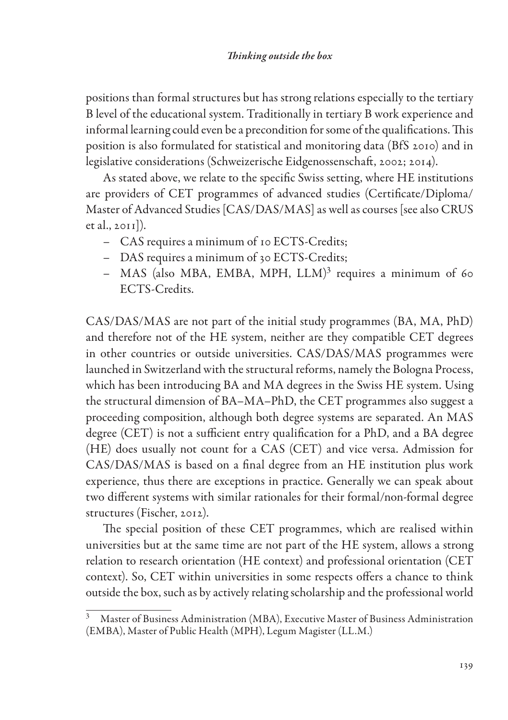positions than formal structures but has strong relations especially to the tertiary B level of the educational system. Traditionally in tertiary B work experience and informal learning could even be a precondition for some of the qualifications. This position is also formulated for statistical and monitoring data (BfS 2010) and in legislative considerations (Schweizerische Eidgenossenschaft, 2002; 2014).

As stated above, we relate to the specific Swiss setting, where HE institutions are providers of CET programmes of advanced studies (Certificate/Diploma/ Master of Advanced Studies [CAS/DAS/MAS] as well as courses [see also CRUS et al., 2011]).

- CAS requires a minimum of 10 ECTS-Credits;
- DAS requires a minimum of 30 ECTS-Credits;
- $-$  MAS (also MBA, EMBA, MPH, LLM)<sup>3</sup> requires a minimum of 60 ECTS-Credits.

CAS/DAS/MAS are not part of the initial study programmes (BA, MA, PhD) and therefore not of the HE system, neither are they compatible CET degrees in other countries or outside universities. CAS/DAS/MAS programmes were launched in Switzerland with the structural reforms, namely the Bologna Process, which has been introducing BA and MA degrees in the Swiss HE system. Using the structural dimension of BA–MA–PhD, the CET programmes also suggest a proceeding composition, although both degree systems are separated. An MAS degree (CET) is not a sufficient entry qualification for a PhD, and a BA degree (HE) does usually not count for a CAS (CET) and vice versa. Admission for CAS/DAS/MAS is based on a final degree from an HE institution plus work experience, thus there are exceptions in practice. Generally we can speak about two different systems with similar rationales for their formal/non-formal degree structures (Fischer, 2012).

The special position of these CET programmes, which are realised within universities but at the same time are not part of the HE system, allows a strong relation to research orientation (HE context) and professional orientation (CET context). So, CET within universities in some respects offers a chance to think outside the box, such as by actively relating scholarship and the professional world

<sup>3</sup> Master of Business Administration (MBA), Executive Master of Business Administration (EMBA), Master of Public Health (MPH), Legum Magister (LL.M.)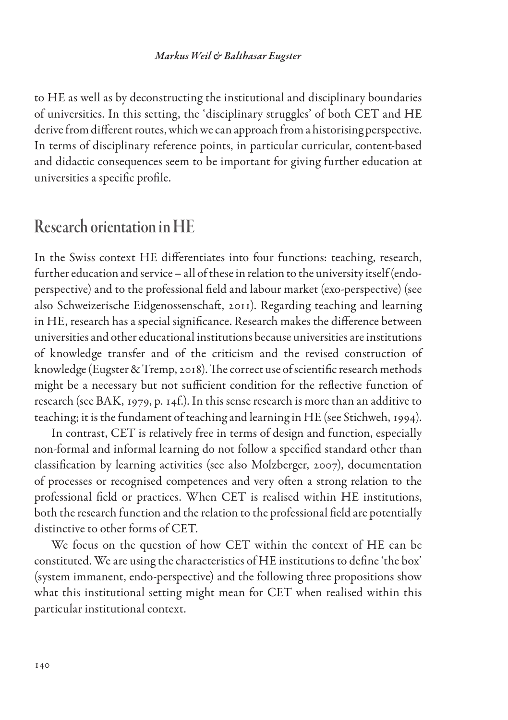#### *Markus Weil & Balthasar Eugster*

to HE as well as by deconstructing the institutional and disciplinary boundaries of universities. In this setting, the 'disciplinary struggles' of both CET and HE derive from different routes, which we can approach from a historising perspective. In terms of disciplinary reference points, in particular curricular, content-based and didactic consequences seem to be important for giving further education at universities a specific profile.

### Research orientation in HE

In the Swiss context HE differentiates into four functions: teaching, research, further education and service – all of these in relation to the university itself (endoperspective) and to the professional field and labour market (exo-perspective) (see also Schweizerische Eidgenossenschaft, 2011). Regarding teaching and learning in HE, research has a special significance. Research makes the difference between universities and other educational institutions because universities are institutions of knowledge transfer and of the criticism and the revised construction of knowledge (Eugster & Tremp, 2018). The correct use of scientific research methods might be a necessary but not sufficient condition for the reflective function of research (see BAK, 1979, p. 14f.). In this sense research is more than an additive to teaching; it is the fundament of teaching and learning in HE (see Stichweh, 1994).

In contrast, CET is relatively free in terms of design and function, especially non-formal and informal learning do not follow a specified standard other than classification by learning activities (see also Molzberger, 2007), documentation of processes or recognised competences and very often a strong relation to the professional field or practices. When CET is realised within HE institutions, both the research function and the relation to the professional field are potentially distinctive to other forms of CET.

We focus on the question of how CET within the context of HE can be constituted. We are using the characteristics of HE institutions to define 'the box' (system immanent, endo-perspective) and the following three propositions show what this institutional setting might mean for CET when realised within this particular institutional context.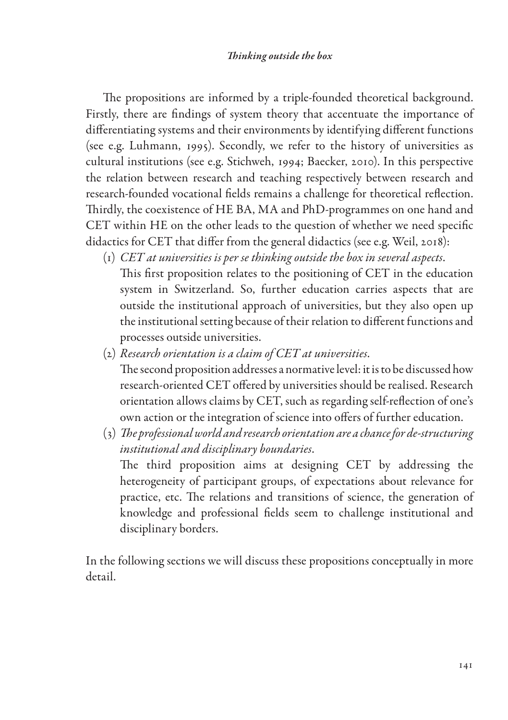The propositions are informed by a triple-founded theoretical background. Firstly, there are findings of system theory that accentuate the importance of differentiating systems and their environments by identifying different functions (see e.g. Luhmann, 1995). Secondly, we refer to the history of universities as cultural institutions (see e.g. Stichweh, 1994; Baecker, 2010). In this perspective the relation between research and teaching respectively between research and research-founded vocational fields remains a challenge for theoretical reflection. Thirdly, the coexistence of HE BA, MA and PhD-programmes on one hand and CET within HE on the other leads to the question of whether we need specific didactics for CET that differ from the general didactics (see e.g. Weil, 2018):

- (1) *CET at universities is per se thinking outside the box in several aspects*. This first proposition relates to the positioning of CET in the education system in Switzerland. So, further education carries aspects that are outside the institutional approach of universities, but they also open up the institutional setting because of their relation to different functions and processes outside universities.
- (2) *Research orientation is a claim of CET at universities*. The second proposition addresses a normative level: it is to be discussed how research-oriented CET offered by universities should be realised. Research orientation allows claims by CET, such as regarding self-reflection of one's own action or the integration of science into offers of further education.
- (3) *The professional world and research orientation are a chance for de-structuring institutional and disciplinary boundaries*. The third proposition aims at designing CET by addressing the heterogeneity of participant groups, of expectations about relevance for practice, etc. The relations and transitions of science, the generation of knowledge and professional fields seem to challenge institutional and disciplinary borders.

In the following sections we will discuss these propositions conceptually in more detail.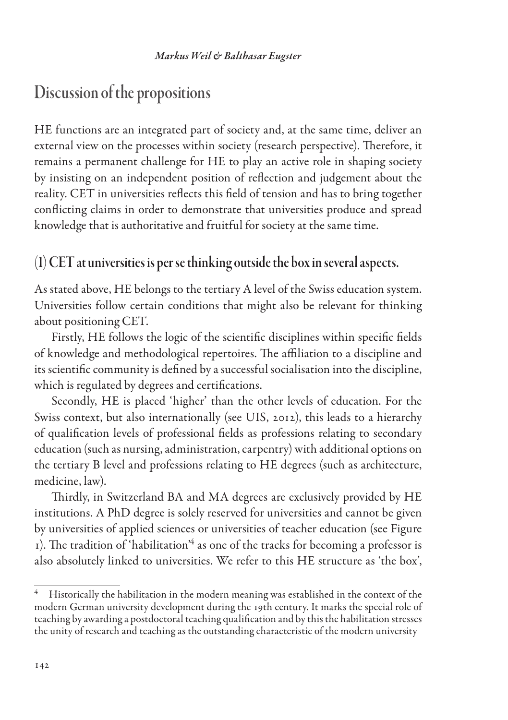# Discussion of the propositions

HE functions are an integrated part of society and, at the same time, deliver an external view on the processes within society (research perspective). Therefore, it remains a permanent challenge for HE to play an active role in shaping society by insisting on an independent position of reflection and judgement about the reality. CET in universities reflects this field of tension and has to bring together conflicting claims in order to demonstrate that universities produce and spread knowledge that is authoritative and fruitful for society at the same time.

#### (1) CET at universities is per se thinking outside the box in several aspects.

As stated above, HE belongs to the tertiary A level of the Swiss education system. Universities follow certain conditions that might also be relevant for thinking about positioning CET.

Firstly, HE follows the logic of the scientific disciplines within specific fields of knowledge and methodological repertoires. The affiliation to a discipline and its scientific community is defined by a successful socialisation into the discipline, which is regulated by degrees and certifications.

Secondly, HE is placed 'higher' than the other levels of education. For the Swiss context, but also internationally (see UIS, 2012), this leads to a hierarchy of qualification levels of professional fields as professions relating to secondary education (such as nursing, administration, carpentry) with additional options on the tertiary B level and professions relating to HE degrees (such as architecture, medicine, law).

Thirdly, in Switzerland BA and MA degrees are exclusively provided by HE institutions. A PhD degree is solely reserved for universities and cannot be given by universities of applied sciences or universities of teacher education (see Figure  $1$ ). The tradition of 'habilitation<sup>'4</sup> as one of the tracks for becoming a professor is also absolutely linked to universities. We refer to this HE structure as 'the box',

<sup>4</sup> Historically the habilitation in the modern meaning was established in the context of the modern German university development during the 19th century. It marks the special role of teaching by awarding a postdoctoral teaching qualification and by this the habilitation stresses the unity of research and teaching as the outstanding characteristic of the modern university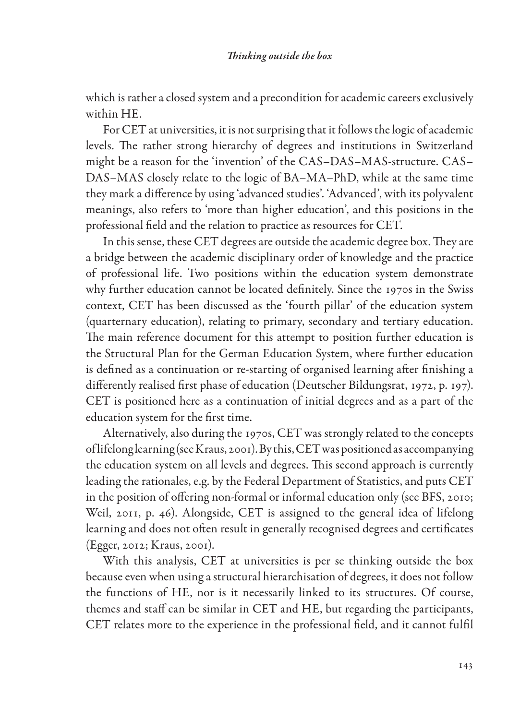which is rather a closed system and a precondition for academic careers exclusively within HE.

For CET at universities, it is not surprising that it follows the logic of academic levels. The rather strong hierarchy of degrees and institutions in Switzerland might be a reason for the 'invention' of the CAS–DAS–MAS-structure. CAS– DAS–MAS closely relate to the logic of BA–MA–PhD, while at the same time they mark a difference by using 'advanced studies'. 'Advanced', with its polyvalent meanings, also refers to 'more than higher education', and this positions in the professional field and the relation to practice as resources for CET.

In this sense, these CET degrees are outside the academic degree box. They are a bridge between the academic disciplinary order of knowledge and the practice of professional life. Two positions within the education system demonstrate why further education cannot be located definitely. Since the 1970s in the Swiss context, CET has been discussed as the 'fourth pillar' of the education system (quarternary education), relating to primary, secondary and tertiary education. The main reference document for this attempt to position further education is the Structural Plan for the German Education System, where further education is defined as a continuation or re-starting of organised learning after finishing a differently realised first phase of education (Deutscher Bildungsrat, 1972, p. 197). CET is positioned here as a continuation of initial degrees and as a part of the education system for the first time.

Alternatively, also during the 1970s, CET was strongly related to the concepts of lifelong learning (see Kraus, 2001). By this, CET was positioned as accompanying the education system on all levels and degrees. This second approach is currently leading the rationales, e.g. by the Federal Department of Statistics, and puts CET in the position of offering non-formal or informal education only (see BFS, 2010; Weil, 2011, p. 46). Alongside, CET is assigned to the general idea of lifelong learning and does not often result in generally recognised degrees and certificates (Egger, 2012; Kraus, 2001).

With this analysis, CET at universities is per se thinking outside the box because even when using a structural hierarchisation of degrees, it does not follow the functions of HE, nor is it necessarily linked to its structures. Of course, themes and staff can be similar in CET and HE, but regarding the participants, CET relates more to the experience in the professional field, and it cannot fulfil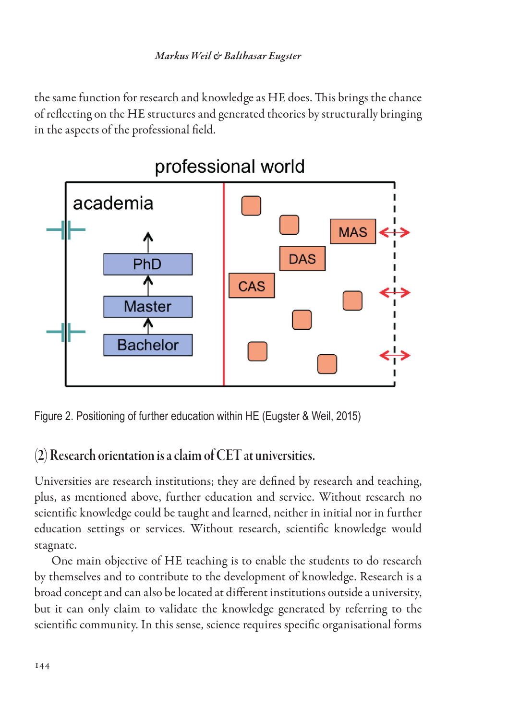the same function for research and knowledge as HE does. This brings the chance of reflecting on the HE structures and generated theories by structurally bringing in the aspects of the professional field.



Figure 2. Positioning of further education within HE (Eugster & Weil, 2015)

# (2) Research orientation is a claim of CET at universities.

Universities are research institutions; they are defined by research and teaching, plus, as mentioned above, further education and service. Without research no scientific knowledge could be taught and learned, neither in initial nor in further education settings or services. Without research, scientific knowledge would stagnate.

One main objective of HE teaching is to enable the students to do research by themselves and to contribute to the development of knowledge. Research is a broad concept and can also be located at different institutions outside a university, but it can only claim to validate the knowledge generated by referring to the scientific community. In this sense, science requires specific organisational forms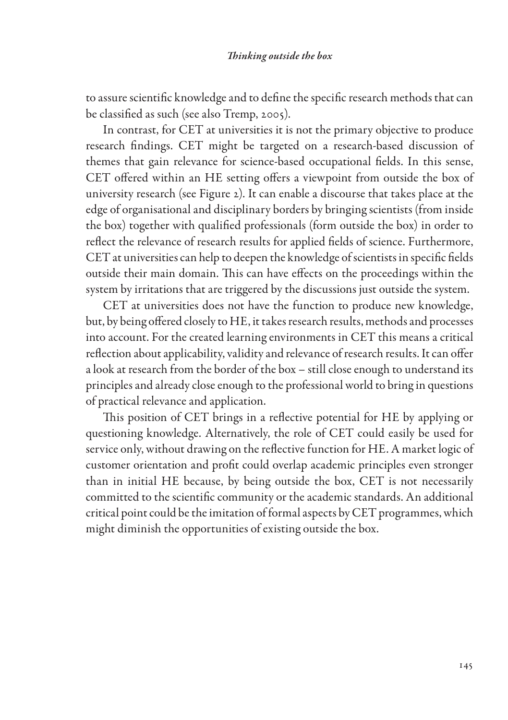to assure scientific knowledge and to define the specific research methods that can be classified as such (see also Tremp, 2005).

In contrast, for CET at universities it is not the primary objective to produce research findings. CET might be targeted on a research-based discussion of themes that gain relevance for science-based occupational fields. In this sense, CET offered within an HE setting offers a viewpoint from outside the box of university research (see Figure 2). It can enable a discourse that takes place at the edge of organisational and disciplinary borders by bringing scientists (from inside the box) together with qualified professionals (form outside the box) in order to reflect the relevance of research results for applied fields of science. Furthermore, CET at universities can help to deepen the knowledge of scientists in specific fields outside their main domain. This can have effects on the proceedings within the system by irritations that are triggered by the discussions just outside the system.

CET at universities does not have the function to produce new knowledge, but, by being offered closely to HE, it takes research results, methods and processes into account. For the created learning environments in CET this means a critical reflection about applicability, validity and relevance of research results. It can offer a look at research from the border of the box – still close enough to understand its principles and already close enough to the professional world to bring in questions of practical relevance and application.

This position of CET brings in a reflective potential for HE by applying or questioning knowledge. Alternatively, the role of CET could easily be used for service only, without drawing on the reflective function for HE. A market logic of customer orientation and profit could overlap academic principles even stronger than in initial HE because, by being outside the box, CET is not necessarily committed to the scientific community or the academic standards. An additional critical point could be the imitation of formal aspects by CET programmes, which might diminish the opportunities of existing outside the box.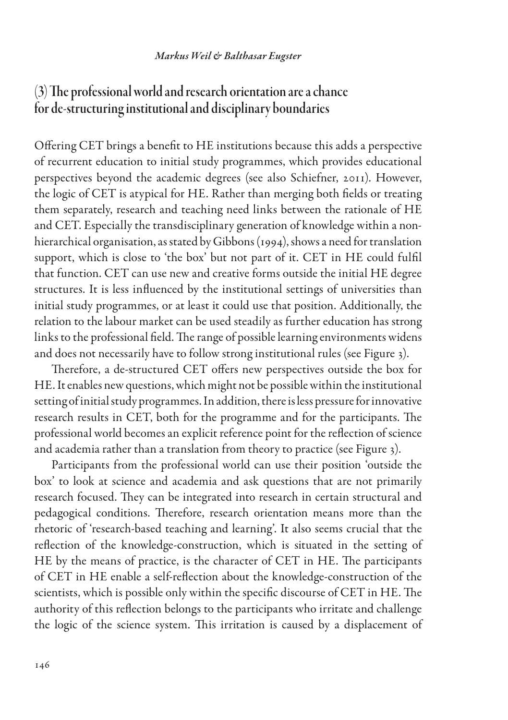#### *Markus Weil & Balthasar Eugster*

### (3) The professional world and research orientation are a chance for de-structuring institutional and disciplinary boundaries

Offering CET brings a benefit to HE institutions because this adds a perspective of recurrent education to initial study programmes, which provides educational perspectives beyond the academic degrees (see also Schiefner, 2011). However, the logic of CET is atypical for HE. Rather than merging both fields or treating them separately, research and teaching need links between the rationale of HE and CET. Especially the transdisciplinary generation of knowledge within a nonhierarchical organisation, as stated by Gibbons (1994), shows a need for translation support, which is close to 'the box' but not part of it. CET in HE could fulfil that function. CET can use new and creative forms outside the initial HE degree structures. It is less influenced by the institutional settings of universities than initial study programmes, or at least it could use that position. Additionally, the relation to the labour market can be used steadily as further education has strong links to the professional field. The range of possible learning environments widens and does not necessarily have to follow strong institutional rules (see Figure 3).

Therefore, a de-structured CET offers new perspectives outside the box for HE. It enables new questions, which might not be possible within the institutional setting of initial study programmes. In addition, there is less pressure for innovative research results in CET, both for the programme and for the participants. The professional world becomes an explicit reference point for the reflection of science and academia rather than a translation from theory to practice (see Figure 3).

Participants from the professional world can use their position 'outside the box' to look at science and academia and ask questions that are not primarily research focused. They can be integrated into research in certain structural and pedagogical conditions. Therefore, research orientation means more than the rhetoric of 'research-based teaching and learning'. It also seems crucial that the reflection of the knowledge-construction, which is situated in the setting of HE by the means of practice, is the character of CET in HE. The participants of CET in HE enable a self-reflection about the knowledge-construction of the scientists, which is possible only within the specific discourse of CET in HE. The authority of this reflection belongs to the participants who irritate and challenge the logic of the science system. This irritation is caused by a displacement of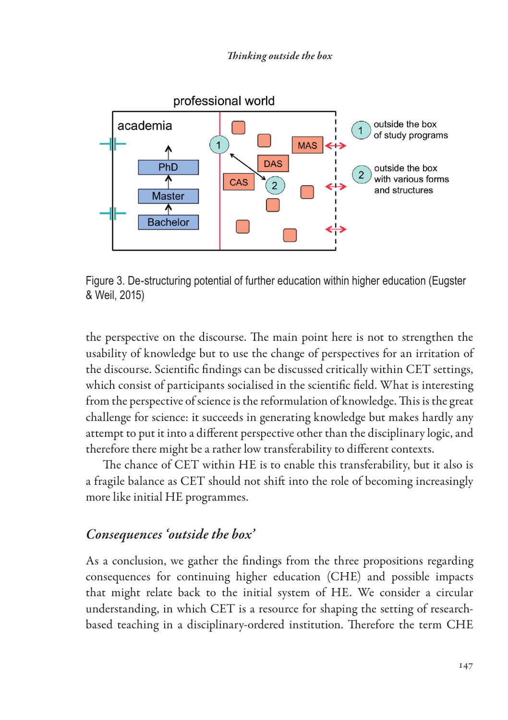*Thinking outside the box*



Figure 3. De-structuring potential of further education within higher education (Eugster & Weil, 2015)

the perspective on the discourse. The main point here is not to strengthen the usability of knowledge but to use the change of perspectives for an irritation of the discourse. Scientific findings can be discussed critically within CET settings, which consist of participants socialised in the scientific field. What is interesting from the perspective of science is the reformulation of knowledge. This is the great challenge for science: it succeeds in generating knowledge but makes hardly any attempt to put it into a different perspective other than the disciplinary logic, and therefore there might be a rather low transferability to different contexts.

The chance of CET within HE is to enable this transferability, but it also is a fragile balance as CET should not shift into the role of becoming increasingly more like initial HE programmes.

#### *Consequences 'outside the box'*

As a conclusion, we gather the findings from the three propositions regarding consequences for continuing higher education (CHE) and possible impacts that might relate back to the initial system of HE. We consider a circular understanding, in which CET is a resource for shaping the setting of researchbased teaching in a disciplinary-ordered institution. Therefore the term CHE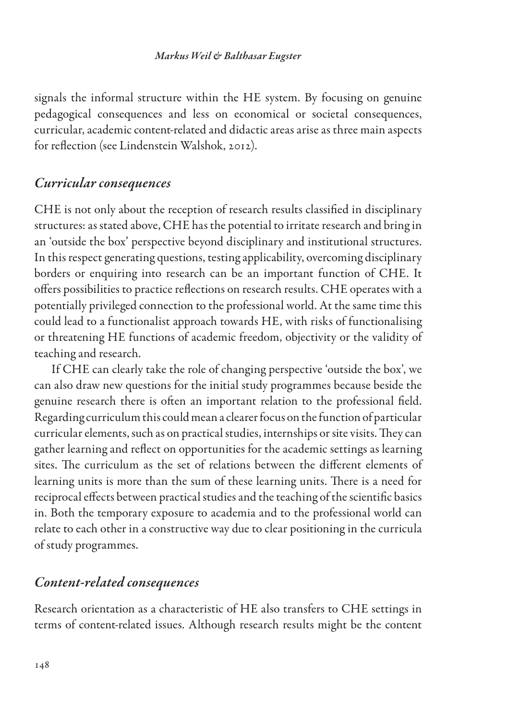signals the informal structure within the HE system. By focusing on genuine pedagogical consequences and less on economical or societal consequences, curricular, academic content-related and didactic areas arise as three main aspects for reflection (see Lindenstein Walshok, 2012).

#### *Curricular consequences*

CHE is not only about the reception of research results classified in disciplinary structures: as stated above, CHE has the potential to irritate research and bring in an 'outside the box' perspective beyond disciplinary and institutional structures. In this respect generating questions, testing applicability, overcoming disciplinary borders or enquiring into research can be an important function of CHE. It offers possibilities to practice reflections on research results. CHE operates with a potentially privileged connection to the professional world. At the same time this could lead to a functionalist approach towards HE, with risks of functionalising or threatening HE functions of academic freedom, objectivity or the validity of teaching and research.

If CHE can clearly take the role of changing perspective 'outside the box', we can also draw new questions for the initial study programmes because beside the genuine research there is often an important relation to the professional field. Regarding curriculum this could mean a clearer focus on the function of particular curricular elements, such as on practical studies, internships or site visits. They can gather learning and reflect on opportunities for the academic settings as learning sites. The curriculum as the set of relations between the different elements of learning units is more than the sum of these learning units. There is a need for reciprocal effects between practical studies and the teaching of the scientific basics in. Both the temporary exposure to academia and to the professional world can relate to each other in a constructive way due to clear positioning in the curricula of study programmes.

#### *Content-related consequences*

Research orientation as a characteristic of HE also transfers to CHE settings in terms of content-related issues. Although research results might be the content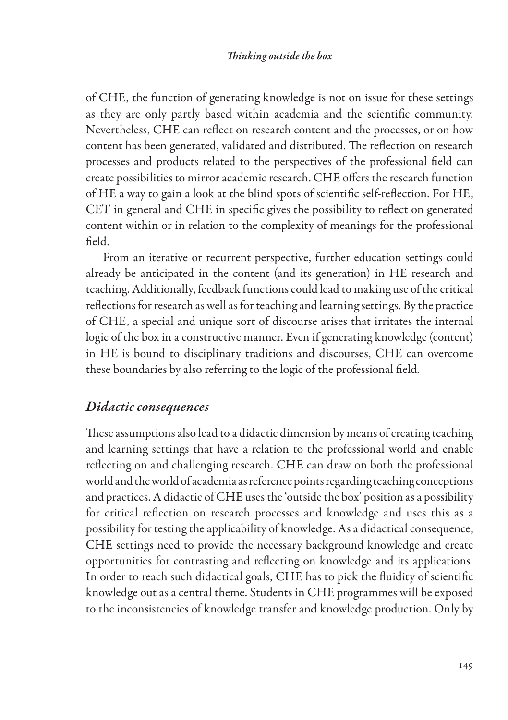of CHE, the function of generating knowledge is not on issue for these settings as they are only partly based within academia and the scientific community. Nevertheless, CHE can reflect on research content and the processes, or on how content has been generated, validated and distributed. The reflection on research processes and products related to the perspectives of the professional field can create possibilities to mirror academic research. CHE offers the research function of HE a way to gain a look at the blind spots of scientific self-reflection. For HE, CET in general and CHE in specific gives the possibility to reflect on generated content within or in relation to the complexity of meanings for the professional field.

From an iterative or recurrent perspective, further education settings could already be anticipated in the content (and its generation) in HE research and teaching. Additionally, feedback functions could lead to making use of the critical reflections for research as well as for teaching and learning settings. By the practice of CHE, a special and unique sort of discourse arises that irritates the internal logic of the box in a constructive manner. Even if generating knowledge (content) in HE is bound to disciplinary traditions and discourses, CHE can overcome these boundaries by also referring to the logic of the professional field.

#### *Didactic consequences*

These assumptions also lead to a didactic dimension by means of creating teaching and learning settings that have a relation to the professional world and enable reflecting on and challenging research. CHE can draw on both the professional world and the world of academia as reference points regarding teaching conceptions and practices. A didactic of CHE uses the 'outside the box' position as a possibility for critical reflection on research processes and knowledge and uses this as a possibility for testing the applicability of knowledge. As a didactical consequence, CHE settings need to provide the necessary background knowledge and create opportunities for contrasting and reflecting on knowledge and its applications. In order to reach such didactical goals, CHE has to pick the fluidity of scientific knowledge out as a central theme. Students in CHE programmes will be exposed to the inconsistencies of knowledge transfer and knowledge production. Only by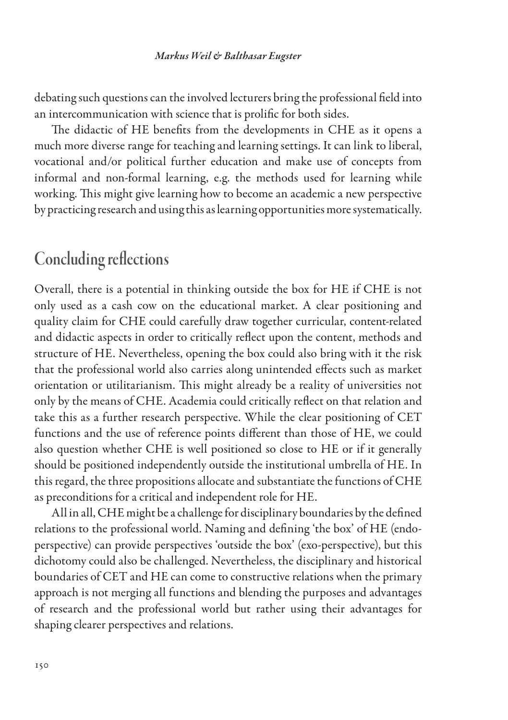#### *Markus Weil & Balthasar Eugster*

debating such questions can the involved lecturers bring the professional field into an intercommunication with science that is prolific for both sides.

The didactic of HE benefits from the developments in CHE as it opens a much more diverse range for teaching and learning settings. It can link to liberal, vocational and/or political further education and make use of concepts from informal and non-formal learning, e.g. the methods used for learning while working. This might give learning how to become an academic a new perspective by practicing research and using this as learning opportunities more systematically.

# Concluding reflections

Overall, there is a potential in thinking outside the box for HE if CHE is not only used as a cash cow on the educational market. A clear positioning and quality claim for CHE could carefully draw together curricular, content-related and didactic aspects in order to critically reflect upon the content, methods and structure of HE. Nevertheless, opening the box could also bring with it the risk that the professional world also carries along unintended effects such as market orientation or utilitarianism. This might already be a reality of universities not only by the means of CHE. Academia could critically reflect on that relation and take this as a further research perspective. While the clear positioning of CET functions and the use of reference points different than those of HE, we could also question whether CHE is well positioned so close to HE or if it generally should be positioned independently outside the institutional umbrella of HE. In this regard, the three propositions allocate and substantiate the functions of CHE as preconditions for a critical and independent role for HE.

All in all, CHE might be a challenge for disciplinary boundaries by the defined relations to the professional world. Naming and defining 'the box' of HE (endoperspective) can provide perspectives 'outside the box' (exo-perspective), but this dichotomy could also be challenged. Nevertheless, the disciplinary and historical boundaries of CET and HE can come to constructive relations when the primary approach is not merging all functions and blending the purposes and advantages of research and the professional world but rather using their advantages for shaping clearer perspectives and relations.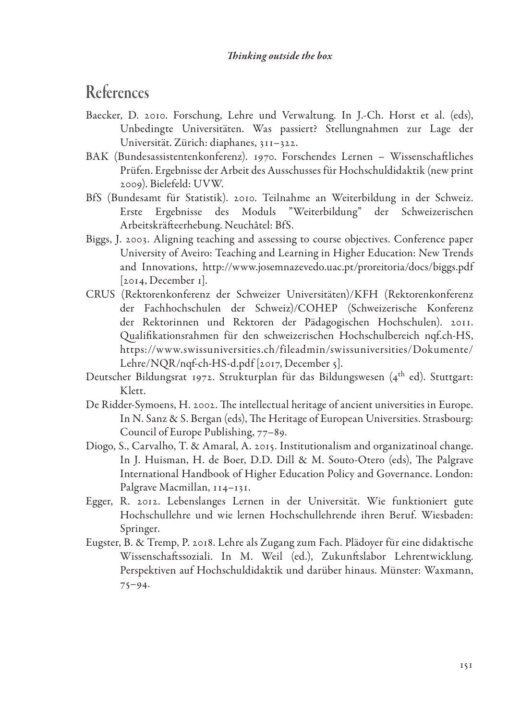# References

- Baecker, D. 2010. Forschung, Lehre und Verwaltung. In J.-Ch. Horst et al. (eds), Unbedingte Universitäten. Was passiert? Stellungnahmen zur Lage der Universität. Zürich: diaphanes, 311–322.
- BAK (Bundesassistentenkonferenz). 1970. Forschendes Lernen Wissenschaftliches Prüfen. Ergebnisse der Arbeit des Ausschusses für Hochschuldidaktik (new print 2009). Bielefeld: UVW.
- BfS (Bundesamt für Statistik). 2010. Teilnahme an Weiterbildung in der Schweiz. Erste Ergebnisse des Moduls "Weiterbildung" der Schweizerischen Arbeitskräfteerhebung. Neuchâtel: BfS.
- Biggs, J. 2003. Aligning teaching and assessing to course objectives. Conference paper University of Aveiro: Teaching and Learning in Higher Education: New Trends and Innovations, http://www.josemnazevedo.uac.pt/proreitoria/docs/biggs.pdf [2014, December 1].
- CRUS (Rektorenkonferenz der Schweizer Universitäten)/KFH (Rektorenkonferenz der Fachhochschulen der Schweiz)/COHEP (Schweizerische Konferenz der Rektorinnen und Rektoren der Pädagogischen Hochschulen). 2011. Qualifikationsrahmen für den schweizerischen Hochschulbereich nqf.ch-HS, https://www.swissuniversities.ch/fileadmin/swissuniversities/Dokumente/ Lehre/NQR/ngf-ch-HS-d.pdf [2017, December 5].
- Deutscher Bildungsrat 1972. Strukturplan für das Bildungswesen (4<sup>th</sup> ed). Stuttgart: Klett.
- De Ridder-Symoens, H. 2002. The intellectual heritage of ancient universities in Europe. In N. Sanz & S. Bergan (eds), The Heritage of European Universities. Strasbourg: Council of Europe Publishing, 77–89.
- Diogo, S., Carvalho, T. & Amaral, A. 2015. Institutionalism and organizatinoal change. In J. Huisman, H. de Boer, D.D. Dill & M. Souto-Otero (eds), The Palgrave International Handbook of Higher Education Policy and Governance. London: Palgrave Macmillan, 114–131.
- Egger, R. 2012. Lebenslanges Lernen in der Universität. Wie funktioniert gute Hochschullehre und wie lernen Hochschullehrende ihren Beruf. Wiesbaden: Springer.
- Eugster, B. & Tremp, P. 2018. Lehre als Zugang zum Fach. Plädoyer für eine didaktische Wissenschaftssoziali. In M. Weil (ed.), Zukunftslabor Lehrentwicklung. Perspektiven auf Hochschuldidaktik und darüber hinaus. Münster: Waxmann, 75–94.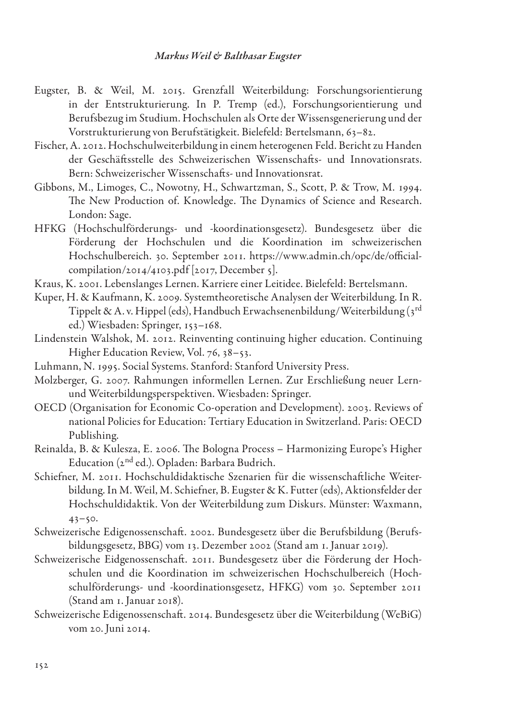- Eugster, B. & Weil, M. 2015. Grenzfall Weiterbildung: Forschungsorientierung in der Entstrukturierung. In P. Tremp (ed.), Forschungsorientierung und Berufsbezug im Studium. Hochschulen als Orte der Wissensgenerierung und der Vorstrukturierung von Berufstätigkeit. Bielefeld: Bertelsmann, 63–82.
- Fischer, A. 2012. Hochschulweiterbildung in einem heterogenen Feld. Bericht zu Handen der Geschäftsstelle des Schweizerischen Wissenschafts- und Innovationsrats. Bern: Schweizerischer Wissenschafts- und Innovationsrat.
- Gibbons, M., Limoges, C., Nowotny, H., Schwartzman, S., Scott, P. & Trow, M. 1994. The New Production of. Knowledge. The Dynamics of Science and Research. London: Sage.
- HFKG (Hochschulförderungs- und -koordinationsgesetz). Bundesgesetz über die Förderung der Hochschulen und die Koordination im schweizerischen Hochschulbereich. 30. September 2011. https://www.admin.ch/opc/de/officialcompilation/2014/4103.pdf [2017, December 5].
- Kraus, K. 2001. Lebenslanges Lernen. Karriere einer Leitidee. Bielefeld: Bertelsmann.
- Kuper, H. & Kaufmann, K. 2009. Systemtheoretische Analysen der Weiterbildung. In R. Tippelt & A. v. Hippel (eds), Handbuch Erwachsenenbildung/Weiterbildung (3rd ed.) Wiesbaden: Springer, 153–168.
- Lindenstein Walshok, M. 2012. Reinventing continuing higher education. Continuing Higher Education Review, Vol. 76, 38–53.
- Luhmann, N. 1995. Social Systems. Stanford: Stanford University Press.
- Molzberger, G. 2007. Rahmungen informellen Lernen. Zur Erschließung neuer Lernund Weiterbildungsperspektiven. Wiesbaden: Springer.
- OECD (Organisation for Economic Co-operation and Development). 2003. Reviews of national Policies for Education: Tertiary Education in Switzerland. Paris: OECD Publishing.
- Reinalda, B. & Kulesza, E. 2006. The Bologna Process Harmonizing Europe's Higher Education (2nd ed.). Opladen: Barbara Budrich.
- Schiefner, M. 2011. Hochschuldidaktische Szenarien für die wissenschaftliche Weiterbildung. In M. Weil, M. Schiefner, B. Eugster & K. Futter (eds), Aktionsfelder der Hochschuldidaktik. Von der Weiterbildung zum Diskurs. Münster: Waxmann,  $43 - 50.$
- Schweizerische Edigenossenschaft. 2002. Bundesgesetz über die Berufsbildung (Berufsbildungsgesetz, BBG) vom 13. Dezember 2002 (Stand am 1. Januar 2019).
- Schweizerische Eidgenossenschaft. 2011. Bundesgesetz über die Förderung der Hochschulen und die Koordination im schweizerischen Hochschulbereich (Hochschulförderungs- und -koordinationsgesetz, HFKG) vom 30. September 2011 (Stand am 1. Januar 2018).
- Schweizerische Edigenossenschaft. 2014. Bundesgesetz über die Weiterbildung (WeBiG) vom 20. Juni 2014.